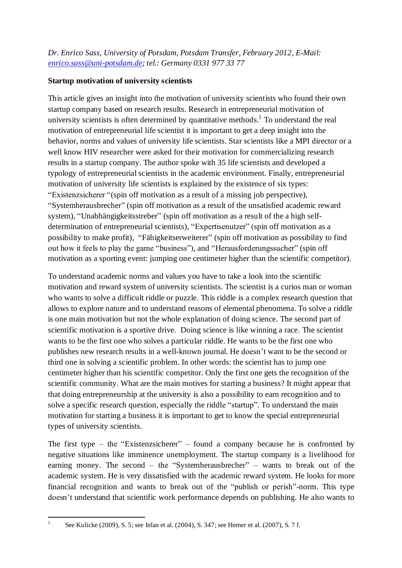*Dr. Enrico Sass, University of Potsdam, Potsdam Transfer, February 2012, E-Mail: [enrico.sass@uni-potsdam.de;](mailto:enrico.sass@uni-potsdam.de) tel.: Germany 0331 977 33 77*

## **Startup motivation of university scientists**

This article gives an insight into the motivation of university scientists who found their own startup company based on research results. Research in entrepreneurial motivation of university scientists is often determined by quantitative methods.<sup>1</sup> To understand the real motivation of entrepreneurial life scientist it is important to get a deep insight into the behavior, norms and values of university life scientists. Star scientists like a MPI director or a well know HIV researcher were asked for their motivation for commercializing research results in a startup company. The author spoke with 35 life scientists and developed a typology of entrepreneurial scientists in the academic environment. Finally, entrepreneurial motivation of university life scientists is explained by the existence of six types: "Existenzsicherer "(spin off motivation as a result of a missing job perspective), "Systemherausbrecher" (spin off motivation as a result of the unsatisfied academic reward system), "Unabhängigkeitsstreber" (spin off motivation as a result of the a high selfdetermination of entrepreneurial scientists), "Expertisenutzer" (spin off motivation as a possibility to make profit), "Fähigkeitserweiterer" (spin off motivation as possibility to find out how it feels to play the game "business"), and "Herausforderungssucher" (spin off motivation as a sporting event: jumping one centimeter higher than the scientific competitor).

To understand academic norms and values you have to take a look into the scientific motivation and reward system of university scientists. The scientist is a curios man or woman who wants to solve a difficult riddle or puzzle. This riddle is a complex research question that allows to explore nature and to understand reasons of elemental phenomena. To solve a riddle is one main motivation but not the whole explanation of doing science. The second part of scientific motivation is a sportive drive. Doing science is like winning a race. The scientist wants to be the first one who solves a particular riddle. He wants to be the first one who publishes new research results in a well-known journal. He doesn't want to be the second or third one in solving a scientific problem. In other words: the scientist has to jump one centimeter higher than his scientific competitor. Only the first one gets the recognition of the scientific community. What are the main motives for starting a business? It might appear that that doing entrepreneurship at the university is also a possibility to earn recognition and to solve a specific research question, especially the riddle "startup". To understand the main motivation for starting a business it is important to get to know the special entrepreneurial types of university scientists.

The first type – the "Existenzsicherer" – found a company because he is confronted by negative situations like imminence unemployment. The startup company is a livelihood for earning money. The second – the "Systemherausbrecher" – wants to break out of the academic system. He is very dissatisfied with the academic reward system. He looks for more financial recognition and wants to break out of the "publish or perish"-norm. This type doesn't understand that scientific work performance depends on publishing. He also wants to

<sup>|&</sup>lt;br>|<br>| See Kulicke (2009), S. 5; see Isfan et al. (2004), S. 347; see Hemer et al. (2007), S. 7 f.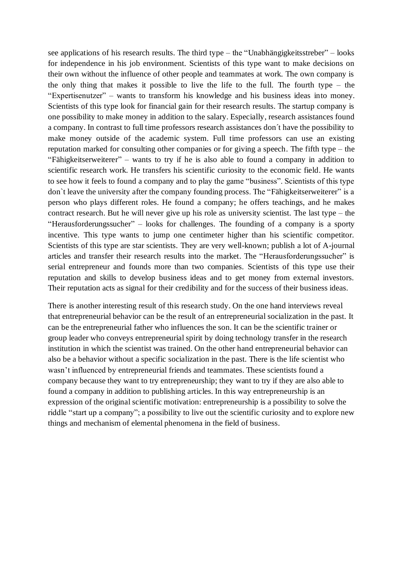see applications of his research results. The third type – the "Unabhängigkeitsstreber" – looks for independence in his job environment. Scientists of this type want to make decisions on their own without the influence of other people and teammates at work. The own company is the only thing that makes it possible to live the life to the full. The fourth type – the "Expertisenutzer" – wants to transform his knowledge and his business ideas into money. Scientists of this type look for financial gain for their research results. The startup company is one possibility to make money in addition to the salary. Especially, research assistances found a company. In contrast to full time professors research assistances don´t have the possibility to make money outside of the academic system. Full time professors can use an existing reputation marked for consulting other companies or for giving a speech. The fifth type – the "Fähigkeitserweiterer" – wants to try if he is also able to found a company in addition to scientific research work. He transfers his scientific curiosity to the economic field. He wants to see how it feels to found a company and to play the game "business". Scientists of this type don`t leave the university after the company founding process. The "Fähigkeitserweiterer" is a person who plays different roles. He found a company; he offers teachings, and he makes contract research. But he will never give up his role as university scientist. The last type – the "Herausforderungssucher" – looks for challenges. The founding of a company is a sporty incentive. This type wants to jump one centimeter higher than his scientific competitor. Scientists of this type are star scientists. They are very well-known; publish a lot of A-journal articles and transfer their research results into the market. The "Herausforderungssucher" is serial entrepreneur and founds more than two companies. Scientists of this type use their reputation and skills to develop business ideas and to get money from external investors. Their reputation acts as signal for their credibility and for the success of their business ideas.

There is another interesting result of this research study. On the one hand interviews reveal that entrepreneurial behavior can be the result of an entrepreneurial socialization in the past. It can be the entrepreneurial father who influences the son. It can be the scientific trainer or group leader who conveys entrepreneurial spirit by doing technology transfer in the research institution in which the scientist was trained. On the other hand entrepreneurial behavior can also be a behavior without a specific socialization in the past. There is the life scientist who wasn't influenced by entrepreneurial friends and teammates. These scientists found a company because they want to try entrepreneurship; they want to try if they are also able to found a company in addition to publishing articles. In this way entrepreneurship is an expression of the original scientific motivation: entrepreneurship is a possibility to solve the riddle "start up a company"; a possibility to live out the scientific curiosity and to explore new things and mechanism of elemental phenomena in the field of business.